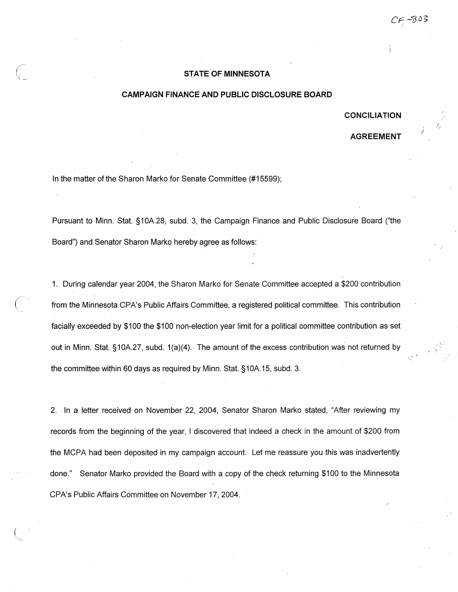## ( **STATE OF MINNESOTA** \ ---

## **CAMPAIGN FINANCE AND PUBLIC DISCLOSURE BOARD**

## **CONCILIATION**

## **AGREEMENT**

In the matter of the Sharon Marko for Senate Committee (#15599);

/

Pursuant to Minn. Stat. §10A.28, subd. 3, the Campaign Finance and Public Disclosure Board ("the Board") and Senator Sharon Marko hereby agree as follows:

1. During calendar year 2004, the Sharon Marko for Senate Committee accepted a \$200 contribution from the Minnesota CPA's Public Affairs Committee; a registered political committee. This contribution facially exceeded by \$100 the \$100 non-election year limit for a political committee contribution as set out in Minn. Stat. §1 OA.27, subd. 1 (a)(4). The amount of the excess contribution was not returned by the committee within 60 days as required by Minn. Stat. §10A.15, subd. 3.

2. In a letter received on November 22, 2004, Senator Sharon Marko stated, "After reviewing my records from the beginning of the year, I discovered that indeed a check in the amount of \$200 from the MCPA had been deposited in my campaign account. Let me reassure you this was inadvertently done." Senator Marko provided the Board with a copy of the check returning \$100 to the Minnesota CPA's Public Affairs Committee on November 17, 2004.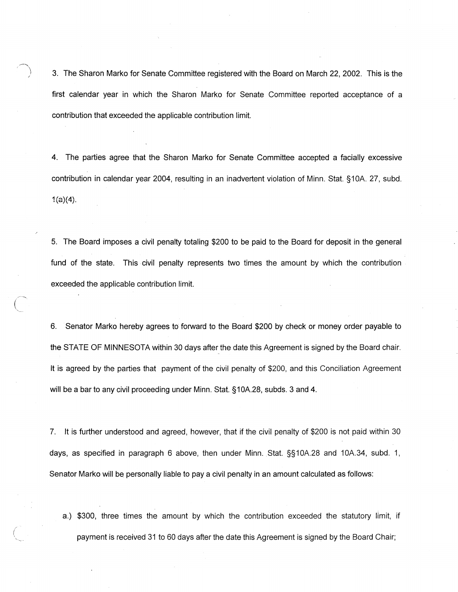3. The Sharon Marko for Senate Committee registered with the Board on March 22, 2002. This is the first calendar year in which the Sharon Marko for Senate Committee reported acceptance of a contribution that exceeded the applicable contribution limit.

4. The parties agree that the Sharon Marko for Senate Committee accepted a facially excessive contribution in calendar year 2004, resulting in an inadvertent violation of Minn. Stat. §10A. 27, subd. 1(a)(4).

5. The Board imposes a civil penalty totaling \$200 to be paid to the Board for deposit in the general fund of the state. This civil penalty represents two times the amount by which the contribution exceeded the applicable contribution limit.

6. ·Senator Marko hereby agrees to forward to the Board \$200 by check or money order payable to the STATE OF MINNESOTA within 30 days after the date this Agreement is signed by the Board chair. It is agreed by the parties that payment of the civil penalty of \$200, and this Conciliation Agreement will be a bar to any civil proceeding under Minn. Stat. §10A.28, subds. 3 and 4.

7. It is further understood and agreed, however, that if the civil penalty of \$200 is not paid within 30 days, as specified in paragraph 6 above, then under Minn. Stat. §§10A.28 and 10A.34, subd. 1, Senator Marko will be personally liable to pay a civil penalty in an amount calculated as follows:

a.) \$300, three times the amount by which the contribution exceeded the statutory limit, if payment is received 31 to 60 days after the date this Agreement is signed by the Board Chair;